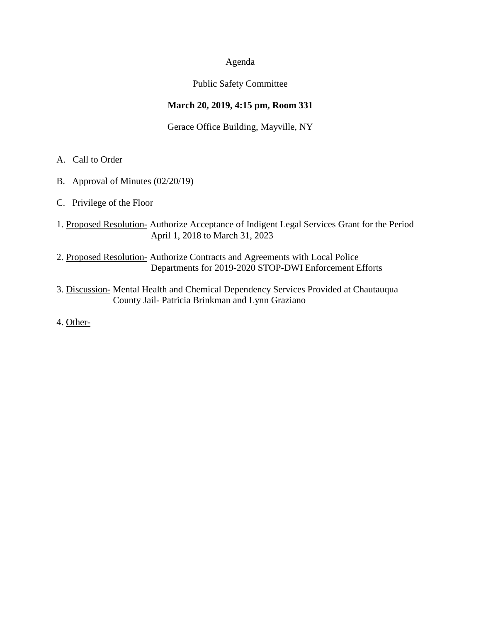### Agenda

### Public Safety Committee

## **March 20, 2019, 4:15 pm, Room 331**

### Gerace Office Building, Mayville, NY

- A. Call to Order
- B. Approval of Minutes (02/20/19)
- C. Privilege of the Floor
- 1. Proposed Resolution- Authorize Acceptance of Indigent Legal Services Grant for the Period April 1, 2018 to March 31, 2023
- 2. Proposed Resolution- Authorize Contracts and Agreements with Local Police Departments for 2019-2020 STOP-DWI Enforcement Efforts
- 3. Discussion- Mental Health and Chemical Dependency Services Provided at Chautauqua County Jail- Patricia Brinkman and Lynn Graziano
- 4. Other-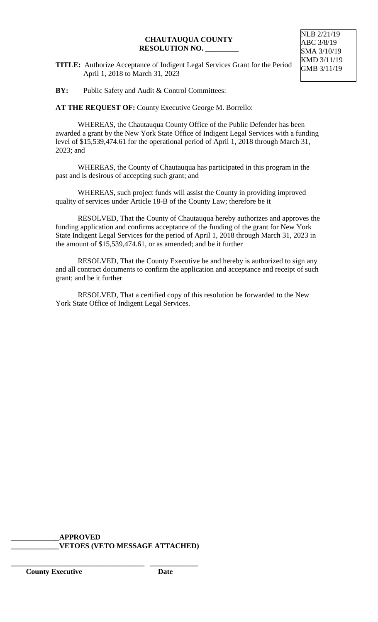#### **CHAUTAUQUA COUNTY RESOLUTION NO. \_\_\_\_\_\_\_\_\_**

**TITLE:** Authorize Acceptance of Indigent Legal Services Grant for the Period April 1, 2018 to March 31, 2023

NLB 2/21/19 ABC 3/8/19 SMA 3/10/19 KMD 3/11/19 GMB 3/11/19

**BY:** Public Safety and Audit & Control Committees:

**AT THE REQUEST OF:** County Executive George M. Borrello:

WHEREAS, the Chautauqua County Office of the Public Defender has been awarded a grant by the New York State Office of Indigent Legal Services with a funding level of \$15,539,474.61 for the operational period of April 1, 2018 through March 31, 2023; and

WHEREAS, the County of Chautauqua has participated in this program in the past and is desirous of accepting such grant; and

WHEREAS, such project funds will assist the County in providing improved quality of services under Article 18-B of the County Law; therefore be it

RESOLVED, That the County of Chautauqua hereby authorizes and approves the funding application and confirms acceptance of the funding of the grant for New York State Indigent Legal Services for the period of April 1, 2018 through March 31, 2023 in the amount of \$15,539,474.61, or as amended; and be it further

RESOLVED, That the County Executive be and hereby is authorized to sign any and all contract documents to confirm the application and acceptance and receipt of such grant; and be it further

RESOLVED, That a certified copy of this resolution be forwarded to the New York State Office of Indigent Legal Services.

**\_\_\_\_\_\_\_\_\_\_\_\_\_APPROVED \_\_\_\_\_\_\_\_\_\_\_\_\_VETOES (VETO MESSAGE ATTACHED)**

**\_\_\_\_\_\_\_\_\_\_\_\_\_\_\_\_\_\_\_\_\_\_\_\_\_\_\_\_\_\_\_\_\_\_\_\_ \_\_\_\_\_\_\_\_\_\_\_\_\_**